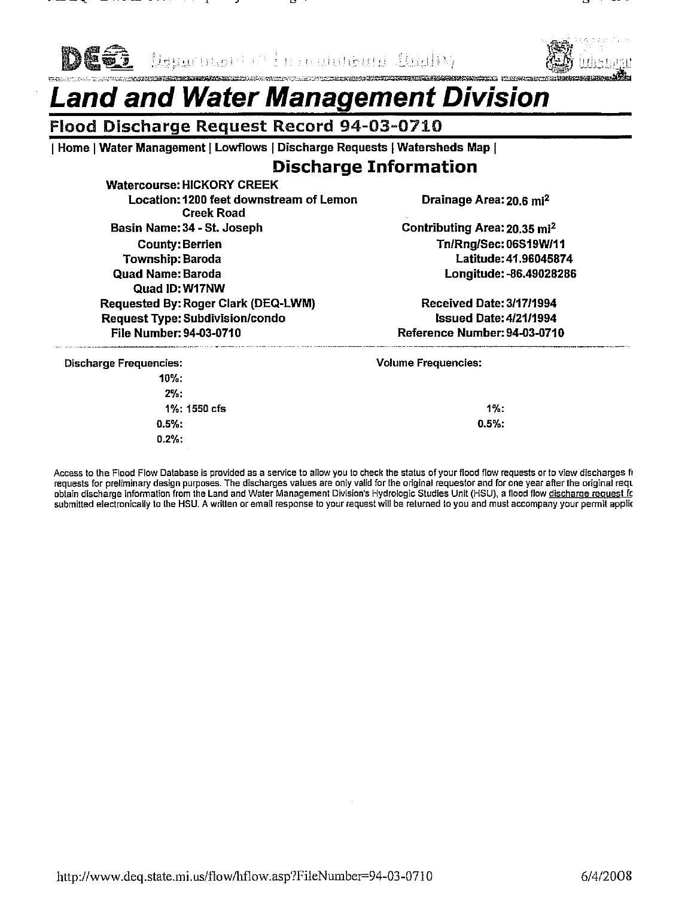

Reported the pullette Bally .<br>Algebija (Algebija a protectary di Helen di The The The The Control and the Algebija and Algebija and Algebija



## and and Water Management Division.

### Flood Discharge Request Record 94-03-0710

| Home | Water Management | Lowflows | Discharge Requests | Watersheds Map |

## **Discharge Information**

**Watercourse: HICKORY CREEK** Location: 1200 feet downstream of Lemon **Creek Road** Basin Name: 34 - St. Joseph **County: Berrien Township: Baroda Quad Name: Baroda** Quad ID: W17NW Requested By: Roger Clark (DEQ-LWM) Request Type: Subdivision/condo File Number: 94-03-0710

Drainage Area: 20.6 mi<sup>2</sup>

Contributing Area: 20.35 mi<sup>2</sup> Tn/Rna/Sec: 06S19W/11 Latitude: 41,96045874 Longitude: - 86.49028286

Received Date: 3/17/1994 **Issued Date: 4/21/1994** Reference Number: 94-03-0710

| <b>Discharge Frequencies:</b> | <b>Volume Frequencies:</b> |
|-------------------------------|----------------------------|
| $10\%$ :                      |                            |
| $2\%$ :                       |                            |
| 1%: 1550 cfs                  | $1\%$ :                    |
| $0.5%$ :                      | $0.5\%$ :                  |
| $0.2\%$ :                     |                            |
| $\mathbf{r}$                  |                            |

Access to the Flood Flow Database is provided as a service to allow you to check the status of your flood flow requests or to view discharges fi requests for preliminary design purposes. The discharges values are only valid for the original requestor and for one year after the original requests for preliminary design purposes. The discharges values are only valid f submitted electronically to the HSU. A written or email response to your request will be returned to you and must accompany your permit applic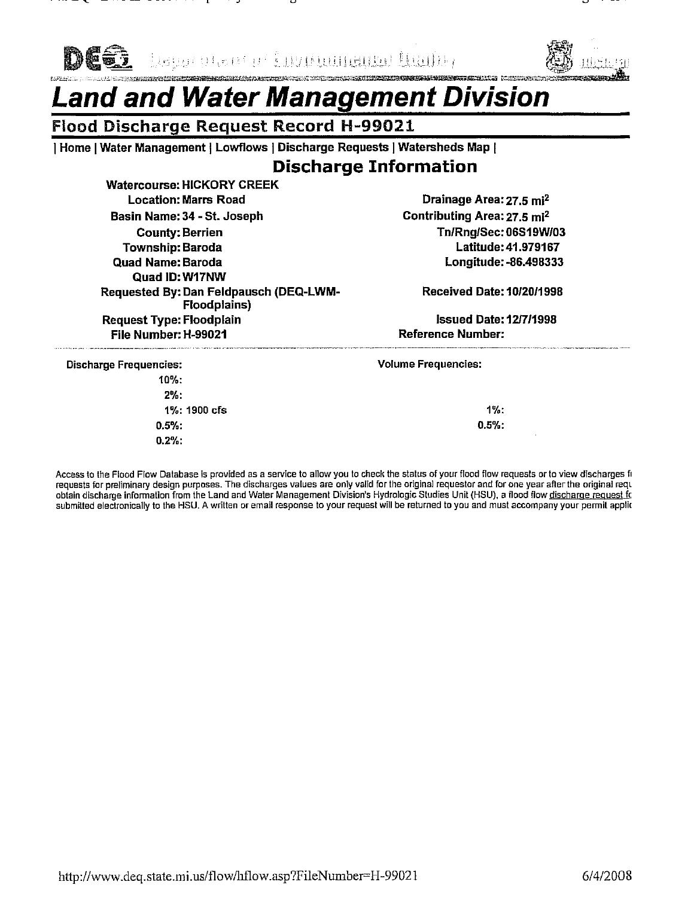

<u>bang plan ir i nynumama huihir</u>



## **HRIGHANIA AGASTARINING TAGAN TAGAN TERMI AGAN TERMI AGAN TAGAN TAGAN TAGAN TAGAN TAGAN TAGAN TAGAN TAGAN TAGAN**<br>TAGAN TAGAN TAGAN TAGAN TAGAN TAGAN TAGAN TAGAN TAGAN TAGAN TAGAN TAGAN TAGAN TAGAN TAGAN TAGAN TAGAN TAGAN T and and Water Management Division

#### **Flood Discharge Request Record H-99021**

Home | Water Management | Lowflows | Discharge Requests | Watersheds Map |

## **Discharge Information**

**Watercourse: HICKORY CREEK Location: Marrs Road** Basin Name: 34 - St. Joseph **County: Berrien Township: Baroda** Quad Name: Baroda Quad ID: W17NW Requested By: Dan Feldpausch (DEQ-LWM-Floodplains) **Request Type: Floodplain** File Number: H-99021

Drainage Area: 27.5 mi<sup>2</sup> Contributing Area: 27.5 mi<sup>2</sup> Tn/Rng/Sec: 06S19W/03 Latitude: 41.979167 Longitude: - 86.498333

**Received Date: 10/20/1998** 

**Issued Date: 12/7/1998 Reference Number:** 

| <b>Discharge Frequencies:</b> |              | <b>Volume Frequencies:</b> |  |
|-------------------------------|--------------|----------------------------|--|
| $10\%$ :                      |              |                            |  |
| 2%                            |              |                            |  |
|                               | 1%: 1900 cfs | $1\%$ :                    |  |
| 0.5%                          |              | 0.5%                       |  |
| $0.2\%$ :                     |              | <b>1999</b>                |  |

Access to the Flood Flow Database is provided as a service to allow you to check the status of your flood flow requests or to view discharges fi requests for preliminary design purposes. The discharges values are only valid for the original requestor and for one year after the original requ obtain discharge information from the Land and Water Management Division's Hydrologic Studies Unit (HSU), a flood flow discharge request to submitted electronically to the HSU. A written or email response to your request will be returned to you and must accompany your permit applic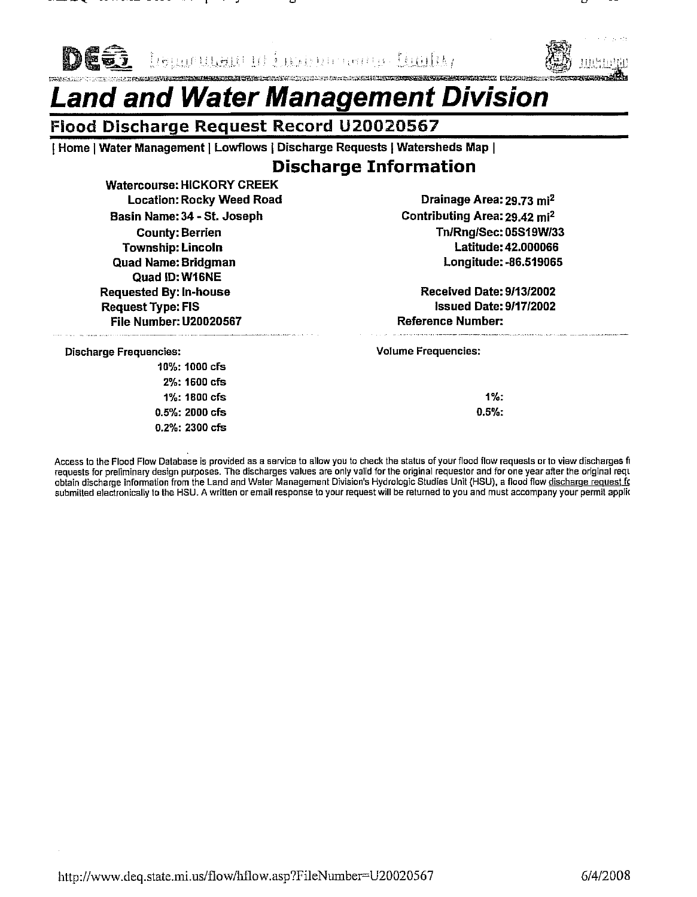

lisuuruusut ol Eusissi merry. Duslik,



## and and Water Management Division

## Flood Discharge Request Record U20020567

[Home | Water Management | Lowflows | Discharge Requests | Watersheds Map |

## **Discharge Information**

**Watercourse: HICKORY CREEK Location: Rocky Weed Road** Basin Name: 34 - St. Joseph **County: Berrien Township: Lincoln Quad Name: Bridgman** Quad ID: W16NE **Requested By: In-house Request Type: FIS File Number: U20020567** 

Drainage Area: 29.73 mi<sup>2</sup> Contributing Area: 29.42 mi<sup>2</sup> Tn/Rng/Sec: 05S19W/33 Latitude: 42.000066 Longitude: - 86.519065

**Received Date: 9/13/2002 Issued Date: 9/17/2002 Reference Number:** 

**Discharge Frequencies:** 

10%: 1000 cfs 2%: 1600 cfs 1%: 1800 cfs  $0.5\%$ : 2000 cfs 0.2%: 2300 cfs **Volume Frequencies:** 

 $1\%$ :  $0.5%$ 

Access to the Flood Flow Database is provided as a service to allow you to check the status of your flood flow requests or to view discharges fr requests for preliminary design purposes. The discharges values are only valid for the original requestor and for one year after the original requests for preliminary design purposes. The discharges values are only valid f submitted electronically to the HSU. A written or email response to your request will be returned to you and must accompany your permit applic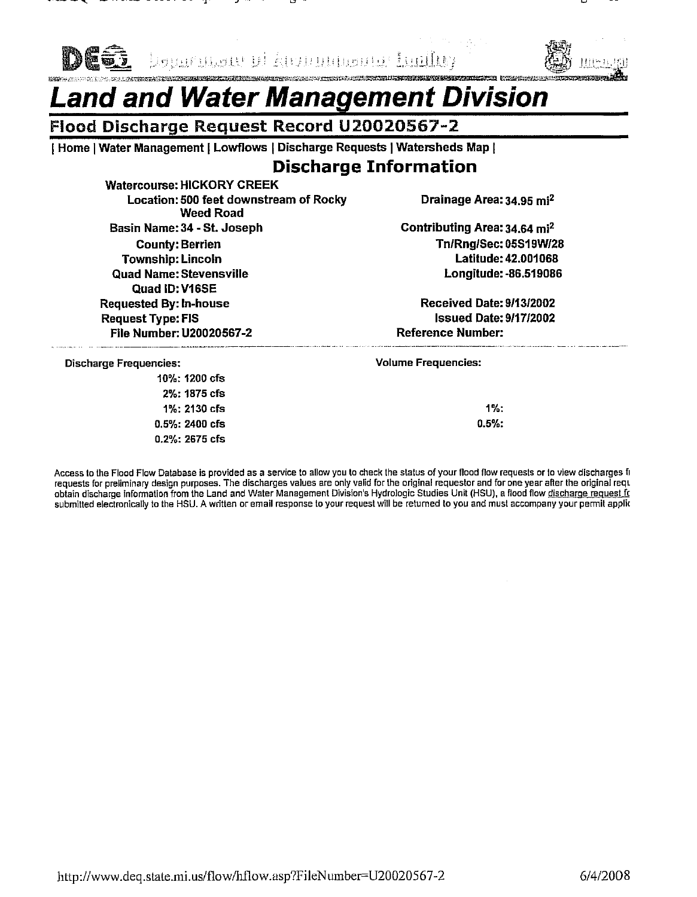

<u>bouartan di kunaanaan kallu</u>



## and and Water Management Division

## Flood Discharge Request Record U20020567-2

| Home | Water Management | Lowflows | Discharge Requests | Watersheds Map |

## **Discharge Information**

**Watercourse: HICKORY CREEK** Location: 500 feet downstream of Rocky **Weed Road** Basin Name: 34 - St. Joseph **County: Berrien Township: Lincoln Quad Name: Stevensville** Quad ID: V16SE **Requested By: In-house Request Type: FIS** File Number: U20020567-2

Drainage Area: 34.95 mi<sup>2</sup>

Contributing Area: 34.64 mi<sup>2</sup> Tn/Rng/Sec: 05S19W/28 Latitude: 42.001068 Longitude: - 86.519086

Received Date: 9/13/2002 **Issued Date: 9/17/2002 Reference Number:** 

**Discharge Frequencies:** 

10%: 1200 cfs 2%: 1875 cfs 1%: 2130 cfs  $0.5\%$ : 2400 cfs 0.2%: 2675 cfs **Volume Frequencies:** 

1%:  $0.5%$ 

Access to the Flood Flow Database is provided as a service to allow you to check the status of your flood flow requests or to view discharges fi requests for preliminary design purposes. The discharges values are only valid for the original requestor and for one year after the original requ obtain discharge information from the Land and Water Management Division's Hydrologic Studies Unit (HSU), a flood flow discharge request for submitted electronically to the HSU. A written or email response to your request will be returned to you and must accompany your permit applic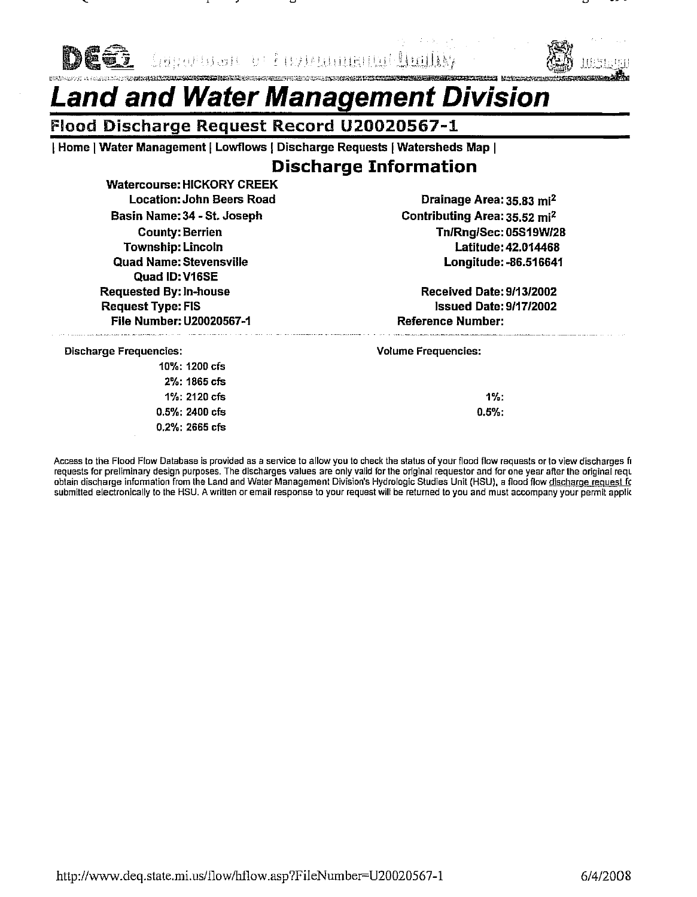Abulbal b **Regional Set 1** milar



## and and Water Management Division

### Flood Discharge Request Record U20020567-1

| Home | Water Management | Lowflows | Discharge Requests | Watersheds Map |

## **Discharge Information**

**Watercourse: HICKORY CREEK Location: John Beers Road** Basin Name: 34 - St. Joseph **County: Berrien Township: Lincoln** Quad Name: Stevensville Quad ID: V16SE **Requested By: In-house Request Type: FIS** File Number: U20020567-1

Drainage Area: 35.83 mi<sup>2</sup> Contributing Area: 35.52 mi<sup>2</sup> Tn/Rng/Sec: 05S19W/28 Latitude: 42.014468 Longitude: - 86.516641

**Received Date: 9/13/2002 Issued Date: 9/17/2002 Reference Number:** 

**Discharge Frequencies:** 

10%: 1200 cfs 2%: 1865 cfs 1%: 2120 cfs 0.5%: 2400 cfs 0.2%: 2665 cfs **Volume Frequencies:** 

 $1%$ :  $0.5%$ 

Access to the Flood Flow Database is provided as a service to allow you to check the status of your flood flow requests or to view discharges fr requests for preliminary design purposes. The discharges values are only valid for the original requestor and for one year after the original requests for preliminary design purposes. The discharges values are only valid f submitted electronically to the HSU. A written or email response to your request will be returned to you and must accompany your permit applic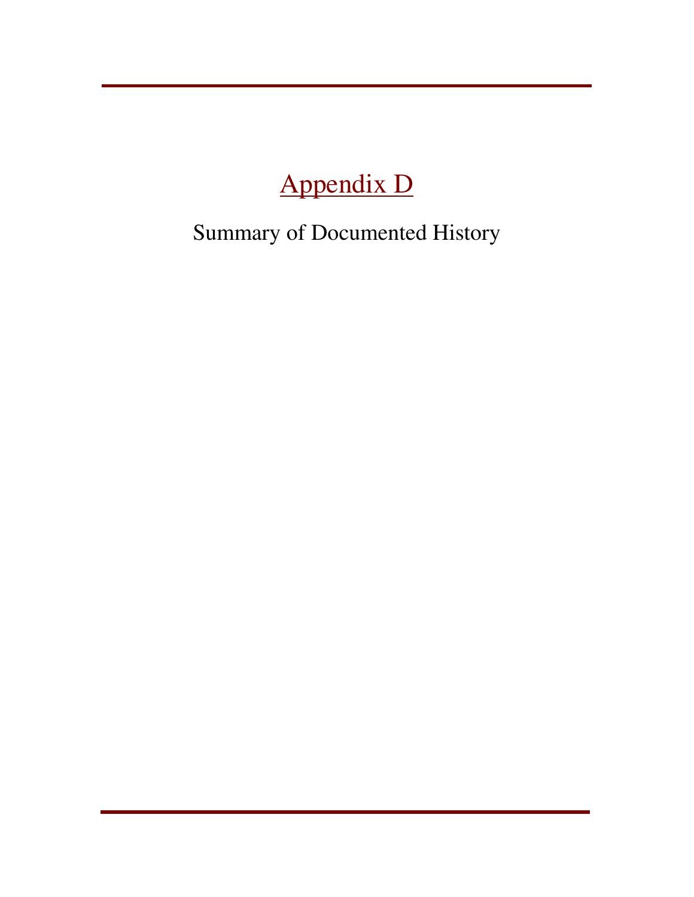# Appendix D

Summary of Documented History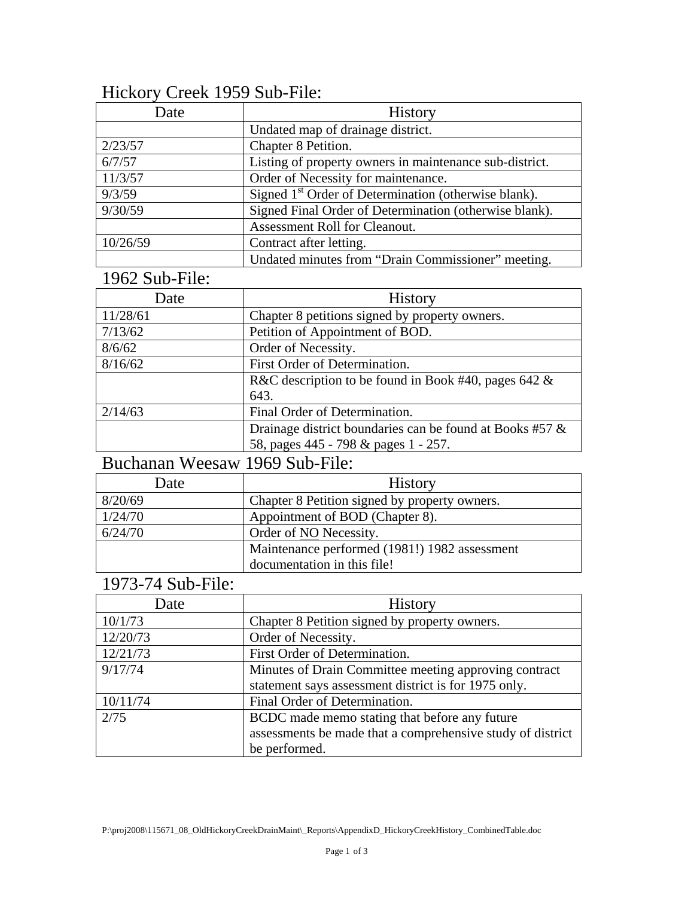## Hickory Creek 1959 Sub-File:

| Date     | <b>History</b>                                                   |
|----------|------------------------------------------------------------------|
|          | Undated map of drainage district.                                |
| 2/23/57  | Chapter 8 Petition.                                              |
| 6/7/57   | Listing of property owners in maintenance sub-district.          |
| 11/3/57  | Order of Necessity for maintenance.                              |
| 9/3/59   | Signed 1 <sup>st</sup> Order of Determination (otherwise blank). |
| 9/30/59  | Signed Final Order of Determination (otherwise blank).           |
|          | Assessment Roll for Cleanout.                                    |
| 10/26/59 | Contract after letting.                                          |
|          | Undated minutes from "Drain Commissioner" meeting.               |

## 1962 Sub-File:

| Date     | <b>History</b>                                              |
|----------|-------------------------------------------------------------|
| 11/28/61 | Chapter 8 petitions signed by property owners.              |
| 7/13/62  | Petition of Appointment of BOD.                             |
| 8/6/62   | Order of Necessity.                                         |
| 8/16/62  | First Order of Determination.                               |
|          | R&C description to be found in Book #40, pages 642 $\&$     |
|          | 643.                                                        |
| 2/14/63  | Final Order of Determination.                               |
|          | Drainage district boundaries can be found at Books #57 $\&$ |
|          | 58, pages 445 - 798 & pages 1 - 257.                        |

### Buchanan Weesaw 1969 Sub-File:

| Date    | <b>History</b>                                |
|---------|-----------------------------------------------|
| 8/20/69 | Chapter 8 Petition signed by property owners. |
| 1/24/70 | Appointment of BOD (Chapter 8).               |
| 6/24/70 | Order of NO Necessity.                        |
|         | Maintenance performed (1981!) 1982 assessment |
|         | documentation in this file!                   |

## 1973-74 Sub-File:

| Date     | <b>History</b>                                             |
|----------|------------------------------------------------------------|
| 10/1/73  | Chapter 8 Petition signed by property owners.              |
| 12/20/73 | Order of Necessity.                                        |
| 12/21/73 | First Order of Determination.                              |
| 9/17/74  | Minutes of Drain Committee meeting approving contract      |
|          | statement says assessment district is for 1975 only.       |
| 10/11/74 | Final Order of Determination.                              |
| 2/75     | BCDC made memo stating that before any future              |
|          | assessments be made that a comprehensive study of district |
|          | be performed.                                              |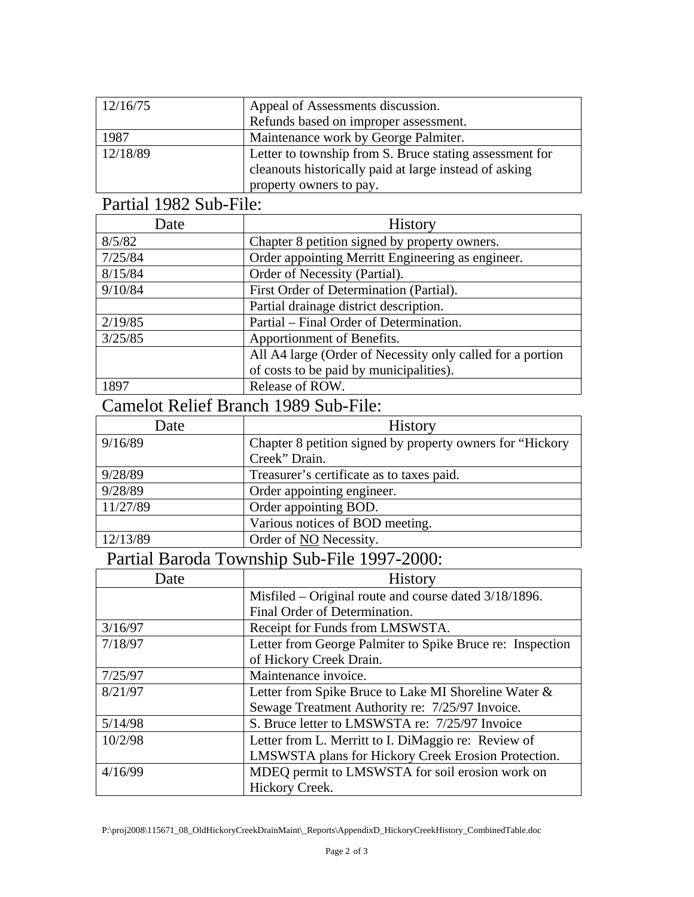| 12/16/75 | Appeal of Assessments discussion.<br>Refunds based on improper assessment.                                                                   |
|----------|----------------------------------------------------------------------------------------------------------------------------------------------|
| 1987     | Maintenance work by George Palmiter.                                                                                                         |
| 12/18/89 | Letter to township from S. Bruce stating assessment for<br>cleanouts historically paid at large instead of asking<br>property owners to pay. |

## Partial 1982 Sub-File:

| Date    | <b>History</b>                                             |
|---------|------------------------------------------------------------|
| 8/5/82  | Chapter 8 petition signed by property owners.              |
| 7/25/84 | Order appointing Merritt Engineering as engineer.          |
| 8/15/84 | Order of Necessity (Partial).                              |
| 9/10/84 | First Order of Determination (Partial).                    |
|         | Partial drainage district description.                     |
| 2/19/85 | Partial – Final Order of Determination.                    |
| 3/25/85 | Apportionment of Benefits.                                 |
|         | All A4 large (Order of Necessity only called for a portion |
|         | of costs to be paid by municipalities).                    |
| 1897    | Release of ROW.                                            |

## Camelot Relief Branch 1989 Sub-File:

| Date     | <b>History</b>                                             |
|----------|------------------------------------------------------------|
| 9/16/89  | Chapter 8 petition signed by property owners for "Hickory" |
|          | Creek" Drain.                                              |
| 9/28/89  | Treasurer's certificate as to taxes paid.                  |
| 9/28/89  | Order appointing engineer.                                 |
| 11/27/89 | Order appointing BOD.                                      |
|          | Various notices of BOD meeting.                            |
| 12/13/89 | Order of NO Necessity.                                     |

## Partial Baroda Township Sub-File 1997-2000:

| Date    | <b>History</b>                                            |
|---------|-----------------------------------------------------------|
|         | Misfiled – Original route and course dated 3/18/1896.     |
|         | Final Order of Determination.                             |
| 3/16/97 | Receipt for Funds from LMSWSTA.                           |
| 7/18/97 | Letter from George Palmiter to Spike Bruce re: Inspection |
|         | of Hickory Creek Drain.                                   |
| 7/25/97 | Maintenance invoice.                                      |
| 8/21/97 | Letter from Spike Bruce to Lake MI Shoreline Water &      |
|         | Sewage Treatment Authority re: 7/25/97 Invoice.           |
| 5/14/98 | S. Bruce letter to LMSWSTA re: 7/25/97 Invoice            |
| 10/2/98 | Letter from L. Merritt to I. DiMaggio re: Review of       |
|         | LMSWSTA plans for Hickory Creek Erosion Protection.       |
| 4/16/99 | MDEQ permit to LMSWSTA for soil erosion work on           |
|         | Hickory Creek.                                            |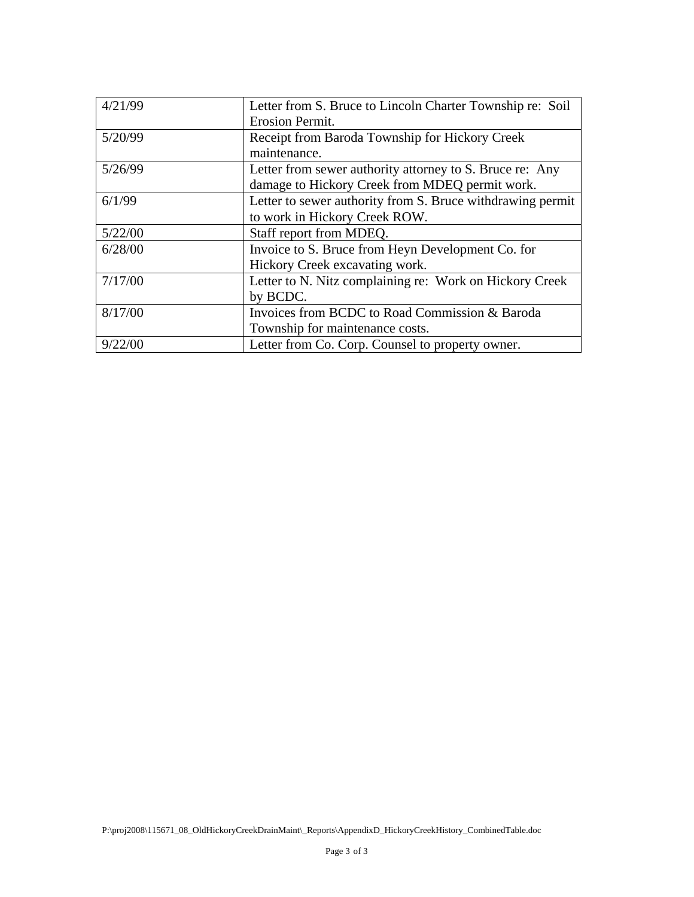| 4/21/99 | Letter from S. Bruce to Lincoln Charter Township re: Soil  |
|---------|------------------------------------------------------------|
|         | Erosion Permit.                                            |
| 5/20/99 | Receipt from Baroda Township for Hickory Creek             |
|         | maintenance.                                               |
| 5/26/99 | Letter from sewer authority attorney to S. Bruce re: Any   |
|         | damage to Hickory Creek from MDEQ permit work.             |
| 6/1/99  | Letter to sewer authority from S. Bruce withdrawing permit |
|         | to work in Hickory Creek ROW.                              |
| 5/22/00 | Staff report from MDEQ.                                    |
| 6/28/00 | Invoice to S. Bruce from Heyn Development Co. for          |
|         | Hickory Creek excavating work.                             |
| 7/17/00 | Letter to N. Nitz complaining re: Work on Hickory Creek    |
|         | by BCDC.                                                   |
| 8/17/00 | Invoices from BCDC to Road Commission & Baroda             |
|         | Township for maintenance costs.                            |
| 9/22/00 | Letter from Co. Corp. Counsel to property owner.           |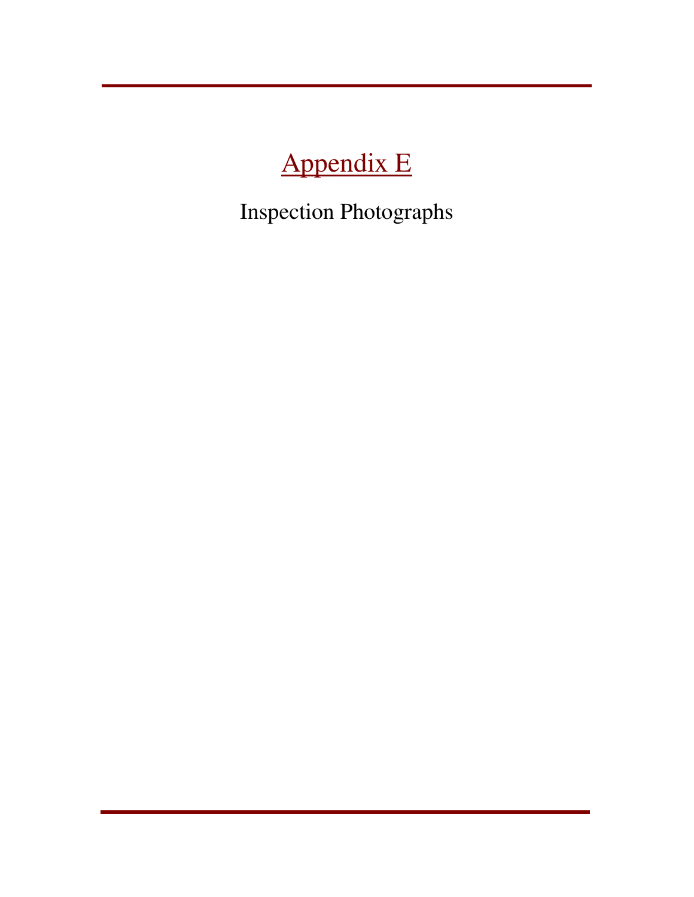# Appendix E

Inspection Photographs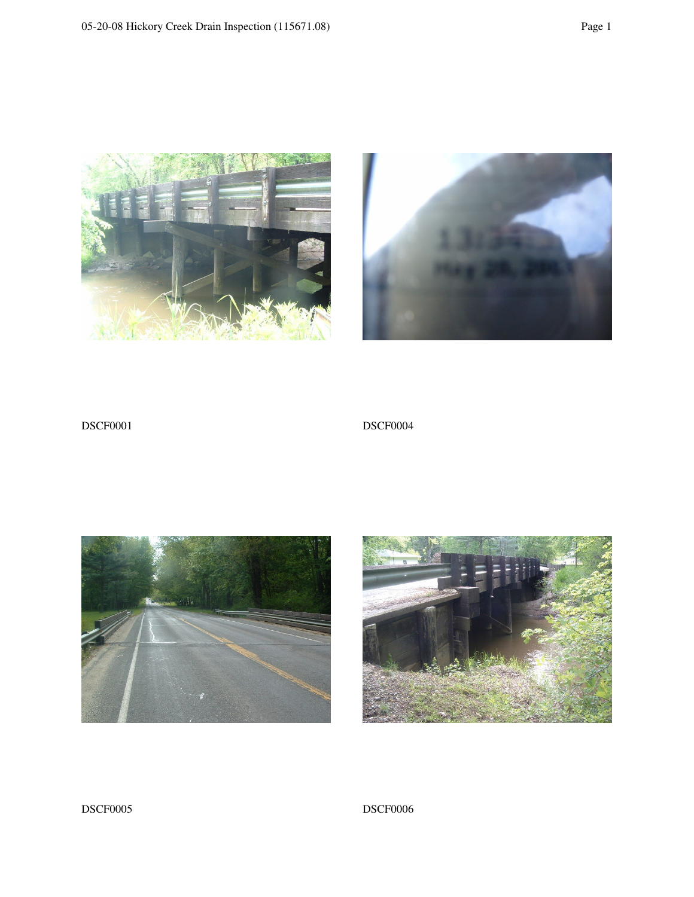



DSCF0001 DSCF0004





#### DSCF0005 DSCF0006